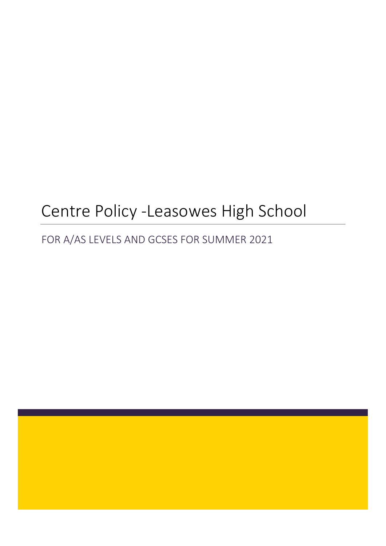# Centre Policy -Leasowes High School

## FOR A/AS LEVELS AND GCSES FOR SUMMER 2021

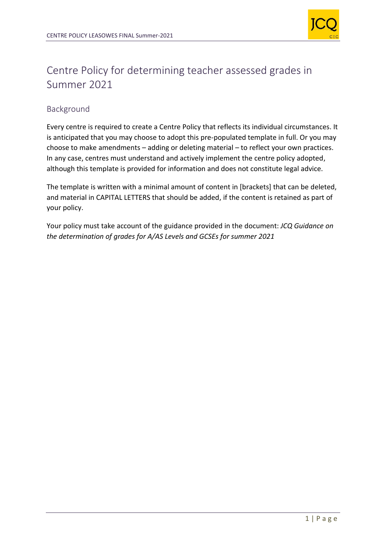

## Centre Policy for determining teacher assessed grades in Summer 2021

## Background

Every centre is required to create a Centre Policy that reflects its individual circumstances. It is anticipated that you may choose to adopt this pre-populated template in full. Or you may choose to make amendments – adding or deleting material – to reflect your own practices. In any case, centres must understand and actively implement the centre policy adopted, although this template is provided for information and does not constitute legal advice.

The template is written with a minimal amount of content in [brackets] that can be deleted, and material in CAPITAL LETTERS that should be added, if the content is retained as part of your policy.

Your policy must take account of the guidance provided in the document: *JCQ Guidance on the determination of grades for A/AS Levels and GCSEs for summer 2021*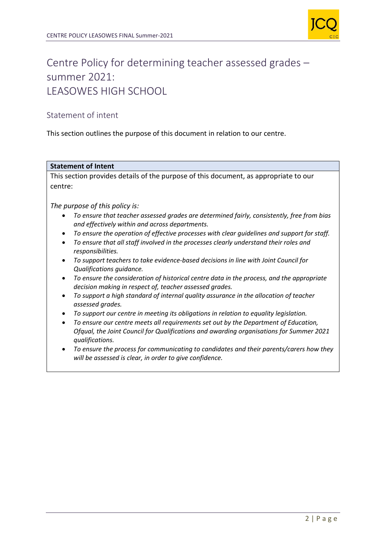

## Centre Policy for determining teacher assessed grades – summer 2021: LEASOWES HIGH SCHOOL

## Statement of intent

This section outlines the purpose of this document in relation to our centre.

#### **Statement of Intent**

This section provides details of the purpose of this document, as appropriate to our centre:

*The purpose of this policy is:*

- *To ensure that teacher assessed grades are determined fairly, consistently, free from bias and effectively within and across departments.*
- *To ensure the operation of effective processes with clear guidelines and support for staff.*
- *To ensure that all staff involved in the processes clearly understand their roles and responsibilities.*
- *To support teachers to take evidence-based decisions in line with Joint Council for Qualifications guidance.*
- *To ensure the consideration of historical centre data in the process, and the appropriate decision making in respect of, teacher assessed grades.*
- *To support a high standard of internal quality assurance in the allocation of teacher assessed grades.*
- *To support our centre in meeting its obligations in relation to equality legislation.*
- *To ensure our centre meets all requirements set out by the Department of Education, Ofqual, the Joint Council for Qualifications and awarding organisations for Summer 2021 qualifications.*
- *To ensure the process for communicating to candidates and their parents/carers how they will be assessed is clear, in order to give confidence.*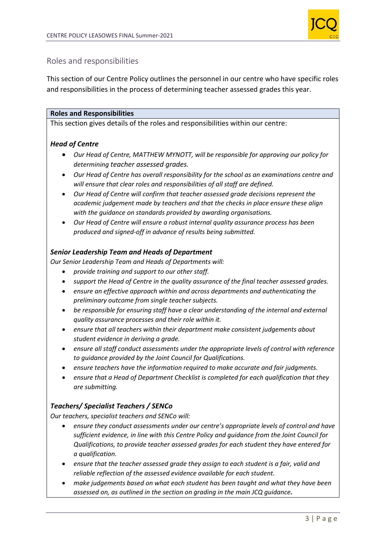

## Roles and responsibilities

This section of our Centre Policy outlines the personnel in our centre who have specific roles and responsibilities in the process of determining teacher assessed grades this year.

### **Roles and Responsibilities**

This section gives details of the roles and responsibilities within our centre:

## *Head of Centre*

- *Our Head of Centre, MATTHEW MYNOTT, will be responsible for approving our policy for determining teacher assessed grades.*
- *Our Head of Centre has overall responsibility for the school as an examinations centre and will ensure that clear roles and responsibilities of all staff are defined.*
- *Our Head of Centre will confirm that teacher assessed grade decisions represent the academic judgement made by teachers and that the checks in place ensure these align with the guidance on standards provided by awarding organisations.*
- *Our Head of Centre will ensure a robust internal quality assurance process has been produced and signed-off in advance of results being submitted.*

## *Senior Leadership Team and Heads of Department*

*Our Senior Leadership Team and Heads of Departments will:*

- *provide training and support to our other staff.*
- *support the Head of Centre in the quality assurance of the final teacher assessed grades.*
- *ensure an effective approach within and across departments and authenticating the preliminary outcome from single teacher subjects.*
- *be responsible for ensuring staff have a clear understanding of the internal and external quality assurance processes and their role within it.*
- *ensure that all teachers within their department make consistent judgements about student evidence in deriving a grade.*
- *ensure all staff conduct assessments under the appropriate levels of control with reference to guidance provided by the Joint Council for Qualifications.*
- *ensure teachers have the information required to make accurate and fair judgments.*
- *ensure that a Head of Department Checklist is completed for each qualification that they are submitting.*

## *Teachers/ Specialist Teachers / SENCo*

*Our teachers, specialist teachers and SENCo will:*

- *ensure they conduct assessments under our centre's appropriate levels of control and have sufficient evidence, in line with this Centre Policy and guidance from the Joint Council for Qualifications, to provide teacher assessed grades for each student they have entered for a qualification.*
- *ensure that the teacher assessed grade they assign to each student is a fair, valid and reliable reflection of the assessed evidence available for each student.*
- *make judgements based on what each student has been taught and what they have been assessed on, as outlined in the section on grading in the main JCQ guidance.*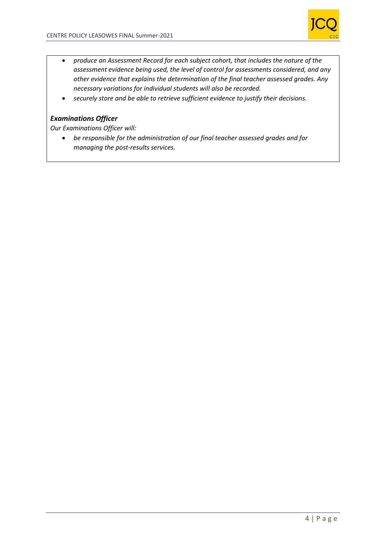

- *produce an Assessment Record for each subject cohort, that includes the nature of the assessment evidence being used, the level of control for assessments considered, and any other evidence that explains the determination of the final teacher assessed grades. Any necessary variations for individual students will also be recorded.*
- *securely store and be able to retrieve sufficient evidence to justify their decisions.*

## *Examinations Officer*

*Our Examinations Officer will:*

• *be responsible for the administration of our final teacher assessed grades and for managing the post-results services.*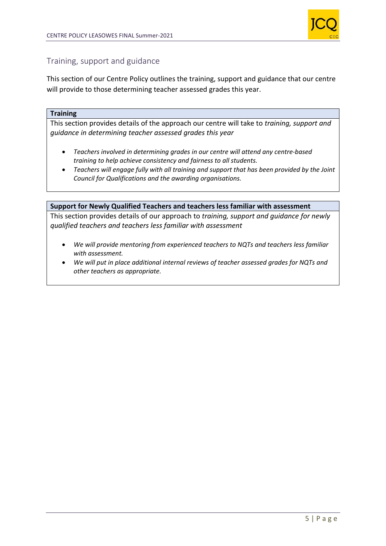

## Training, support and guidance

This section of our Centre Policy outlines the training, support and guidance that our centre will provide to those determining teacher assessed grades this year.

#### **Training**

This section provides details of the approach our centre will take to *training, support and guidance in determining teacher assessed grades this year*

- *Teachers involved in determining grades in our centre will attend any centre-based training to help achieve consistency and fairness to all students.*
- *Teachers will engage fully with all training and support that has been provided by the Joint Council for Qualifications and the awarding organisations.*

#### **Support for Newly Qualified Teachers and teachers less familiar with assessment**

This section provides details of our approach to *training, support and guidance for newly qualified teachers and teachers less familiar with assessment*

- *We will provide mentoring from experienced teachers to NQTs and teachers less familiar with assessment.*
- *We will put in place additional internal reviews of teacher assessed grades for NQTs and other teachers as appropriate.*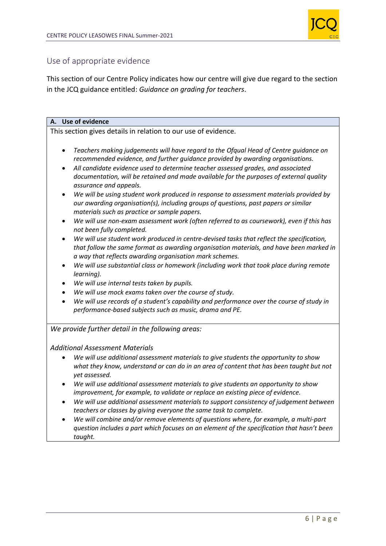

## Use of appropriate evidence

This section of our Centre Policy indicates how our centre will give due regard to the section in the JCQ guidance entitled: *Guidance on grading for teachers*.

### **A. Use of evidence**

This section gives details in relation to our use of evidence.

- *Teachers making judgements will have regard to the Ofqual Head of Centre guidance on recommended evidence, and further guidance provided by awarding organisations.*
- *All candidate evidence used to determine teacher assessed grades, and associated documentation, will be retained and made available for the purposes of external quality assurance and appeals.*
- *We will be using student work produced in response to assessment materials provided by our awarding organisation(s), including groups of questions, past papers or similar materials such as practice or sample papers.*
- *We will use non-exam assessment work (often referred to as coursework), even if this has not been fully completed.*
- *We will use student work produced in centre-devised tasks that reflect the specification, that follow the same format as awarding organisation materials, and have been marked in a way that reflects awarding organisation mark schemes.*
- *We will use substantial class or homework (including work that took place during remote learning).*
- *We will use internal tests taken by pupils.*
- *We will use mock exams taken over the course of study.*
- *We will use records of a student's capability and performance over the course of study in performance-based subjects such as music, drama and PE.*

*We provide further detail in the following areas:*

#### *Additional Assessment Materials*

- *We will use additional assessment materials to give students the opportunity to show what they know, understand or can do in an area of content that has been taught but not yet assessed.*
- *We will use additional assessment materials to give students an opportunity to show improvement, for example, to validate or replace an existing piece of evidence.*
- *We will use additional assessment materials to support consistency of judgement between teachers or classes by giving everyone the same task to complete.*
- *We will combine and/or remove elements of questions where, for example, a multi-part question includes a part which focuses on an element of the specification that hasn't been taught.*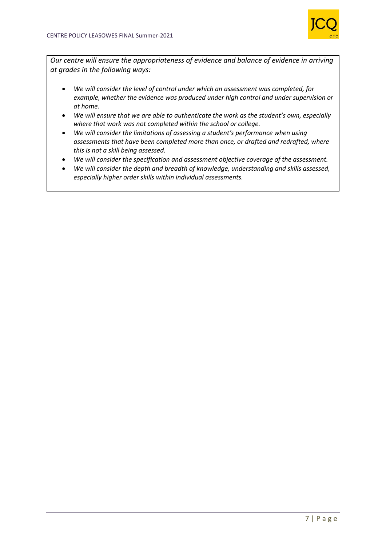

*Our centre will ensure the appropriateness of evidence and balance of evidence in arriving at grades in the following ways:*

- *We will consider the level of control under which an assessment was completed, for example, whether the evidence was produced under high control and under supervision or at home.*
- *We will ensure that we are able to authenticate the work as the student's own, especially where that work was not completed within the school or college.*
- *We will consider the limitations of assessing a student's performance when using assessments that have been completed more than once, or drafted and redrafted, where this is not a skill being assessed.*
- *We will consider the specification and assessment objective coverage of the assessment.*
- *We will consider the depth and breadth of knowledge, understanding and skills assessed, especially higher order skills within individual assessments.*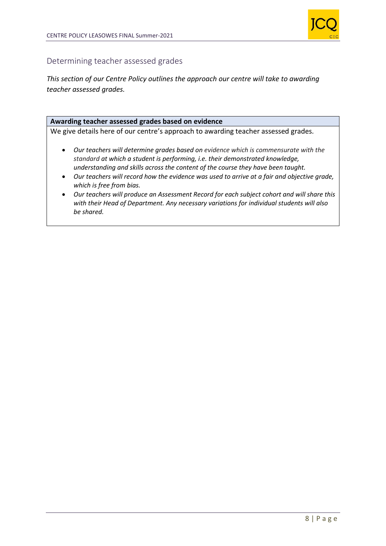

## Determining teacher assessed grades

*This section of our Centre Policy outlines the approach our centre will take to awarding teacher assessed grades.*

#### **Awarding teacher assessed grades based on evidence**

We give details here of our centre's approach to awarding teacher assessed grades*.*

- *Our teachers will determine grades based on evidence which is commensurate with the standard at which a student is performing, i.e. their demonstrated knowledge, understanding and skills across the content of the course they have been taught.*
- *Our teachers will record how the evidence was used to arrive at a fair and objective grade, which is free from bias.*
- *Our teachers will produce an Assessment Record for each subject cohort and will share this with their Head of Department. Any necessary variations for individual students will also be shared.*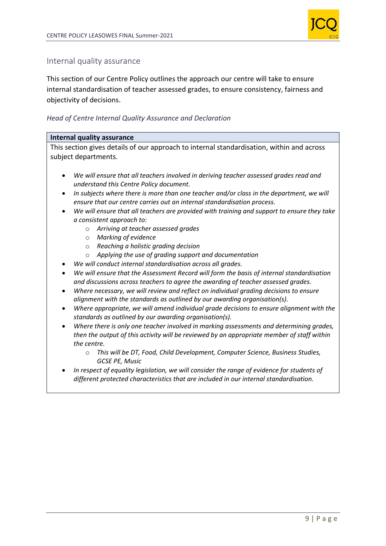

## Internal quality assurance

This section of our Centre Policy outlines the approach our centre will take to ensure internal standardisation of teacher assessed grades, to ensure consistency, fairness and objectivity of decisions.

### *Head of Centre Internal Quality Assurance and Declaration*

#### **Internal quality assurance**

This section gives details of our approach to internal standardisation, within and across subject departments.

- *We will ensure that all teachers involved in deriving teacher assessed grades read and understand this Centre Policy document.*
- *In subjects where there is more than one teacher and/or class in the department, we will ensure that our centre carries out an internal standardisation process.*
- *We will ensure that all teachers are provided with training and support to ensure they take a consistent approach to:*
	- o *Arriving at teacher assessed grades*
	- o *Marking of evidence*
	- o *Reaching a holistic grading decision*
	- o *Applying the use of grading support and documentation*
- *We will conduct internal standardisation across all grades.*
- *We will ensure that the Assessment Record will form the basis of internal standardisation and discussions across teachers to agree the awarding of teacher assessed grades.*
- *Where necessary, we will review and reflect on individual grading decisions to ensure alignment with the standards as outlined by our awarding organisation(s).*
- *Where appropriate, we will amend individual grade decisions to ensure alignment with the standards as outlined by our awarding organisation(s).*
- *Where there is only one teacher involved in marking assessments and determining grades, then the output of this activity will be reviewed by an appropriate member of staff within the centre.*
	- o *This will be DT, Food, Child Development, Computer Science, Business Studies, GCSE PE, Music*
- *In respect of equality legislation, we will consider the range of evidence for students of different protected characteristics that are included in our internal standardisation.*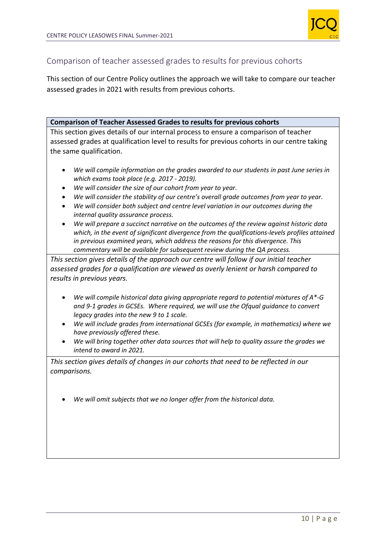

## Comparison of teacher assessed grades to results for previous cohorts

This section of our Centre Policy outlines the approach we will take to compare our teacher assessed grades in 2021 with results from previous cohorts.

### **Comparison of Teacher Assessed Grades to results for previous cohorts**

This section gives details of our internal process to ensure a comparison of teacher assessed grades at qualification level to results for previous cohorts in our centre taking the same qualification.

- *We will compile information on the grades awarded to our students in past June series in which exams took place (e.g. 2017 - 2019).*
- *We will consider the size of our cohort from year to year.*
- *We will consider the stability of our centre's overall grade outcomes from year to year.*
- *We will consider both subject and centre level variation in our outcomes during the internal quality assurance process.*
- *We will prepare a succinct narrative on the outcomes of the review against historic data which, in the event of significant divergence from the qualifications-levels profiles attained in previous examined years, which address the reasons for this divergence. This commentary will be available for subsequent review during the QA process.*

*This section gives details of the approach our centre will follow if our initial teacher assessed grades for a qualification are viewed as overly lenient or harsh compared to results in previous years.*

- *We will compile historical data giving appropriate regard to potential mixtures of A\*-G and 9-1 grades in GCSEs. Where required, we will use the Ofqual guidance to convert legacy grades into the new 9 to 1 scale.*
- *We will include grades from international GCSEs (for example, in mathematics) where we have previously offered these.*
- *We will bring together other data sources that will help to quality assure the grades we intend to award in 2021.*

*This section gives details of changes in our cohorts that need to be reflected in our comparisons.* 

• *We will omit subjects that we no longer offer from the historical data.*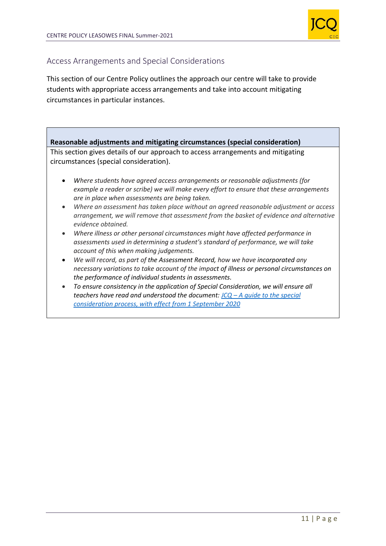

## Access Arrangements and Special Considerations

This section of our Centre Policy outlines the approach our centre will take to provide students with appropriate access arrangements and take into account mitigating circumstances in particular instances.

## **Reasonable adjustments and mitigating circumstances (special consideration)** This section gives details of our approach to access arrangements and mitigating circumstances (special consideration).

- *Where students have agreed access arrangements or reasonable adjustments (for example a reader or scribe) we will make every effort to ensure that these arrangements are in place when assessments are being taken.*
- *Where an assessment has taken place without an agreed reasonable adjustment or access arrangement, we will remove that assessment from the basket of evidence and alternative evidence obtained.*
- *Where illness or other personal circumstances might have affected performance in assessments used in determining a student's standard of performance, we will take account of this when making judgements.*
- *We will record, as part of the Assessment Record, how we have incorporated any necessary variations to take account of the impact of illness or personal circumstances on the performance of individual students in assessments.*
- *To ensure consistency in the application of Special Consideration, we will ensure all teachers have read and understood the document: JCQ – [A guide to the special](https://www.jcq.org.uk/wp-content/uploads/2020/08/A-guide-to-the-spec-con-process-202021-Website-version.pdf)  [consideration process, with effect from 1 September 2020](https://www.jcq.org.uk/wp-content/uploads/2020/08/A-guide-to-the-spec-con-process-202021-Website-version.pdf)*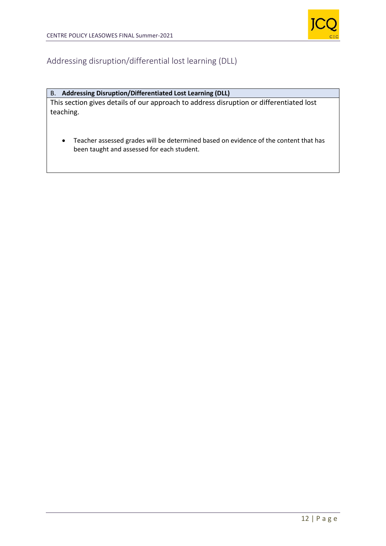

## Addressing disruption/differential lost learning (DLL)

#### B. **Addressing Disruption/Differentiated Lost Learning (DLL)**

This section gives details of our approach to address disruption or differentiated lost teaching.

• Teacher assessed grades will be determined based on evidence of the content that has been taught and assessed for each student.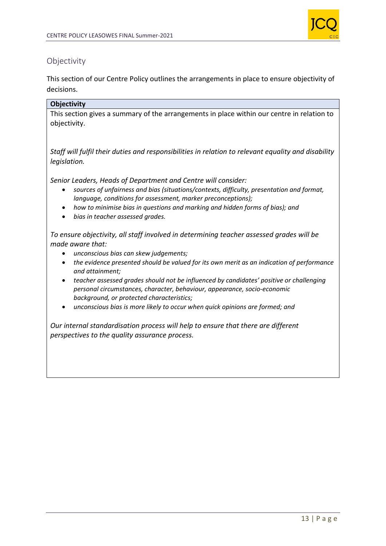

## **Objectivity**

This section of our Centre Policy outlines the arrangements in place to ensure objectivity of decisions.

## **Objectivity**

This section gives a summary of the arrangements in place within our centre in relation to objectivity.

*Staff will fulfil their duties and responsibilities in relation to relevant equality and disability legislation.*

*Senior Leaders, Heads of Department and Centre will consider:*

- *sources of unfairness and bias (situations/contexts, difficulty, presentation and format, language, conditions for assessment, marker preconceptions);*
- *how to minimise bias in questions and marking and hidden forms of bias); and*
- *bias in teacher assessed grades.*

*To ensure objectivity, all staff involved in determining teacher assessed grades will be made aware that:*

- *unconscious bias can skew judgements;*
- *the evidence presented should be valued for its own merit as an indication of performance and attainment;*
- *teacher assessed grades should not be influenced by candidates' positive or challenging personal circumstances, character, behaviour, appearance, socio-economic background, or protected characteristics;*
- *unconscious bias is more likely to occur when quick opinions are formed; and*

*Our internal standardisation process will help to ensure that there are different perspectives to the quality assurance process.*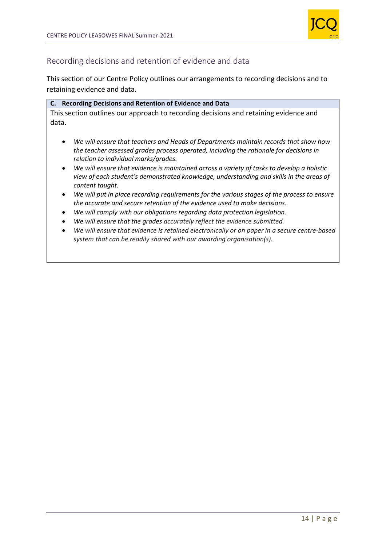

## Recording decisions and retention of evidence and data

This section of our Centre Policy outlines our arrangements to recording decisions and to retaining evidence and data.

| C. Recording Decisions and Retention of Evidence and Data                            |  |
|--------------------------------------------------------------------------------------|--|
| This section outlines our approach to recording decisions and retaining evidence and |  |
| data.                                                                                |  |
| We will ensure that teachers and Heads of Departments maintain records that show how |  |

- *We will ensure that teachers and Heads of Departments maintain records that show how the teacher assessed grades process operated, including the rationale for decisions in relation to individual marks/grades.*
- *We will ensure that evidence is maintained across a variety of tasks to develop a holistic view of each student's demonstrated knowledge, understanding and skills in the areas of content taught.*
- *We will put in place recording requirements for the various stages of the process to ensure the accurate and secure retention of the evidence used to make decisions.*
- *We will comply with our obligations regarding data protection legislation.*
- *We will ensure that the grades accurately reflect the evidence submitted.*
- *We will ensure that evidence is retained electronically or on paper in a secure centre-based system that can be readily shared with our awarding organisation(s).*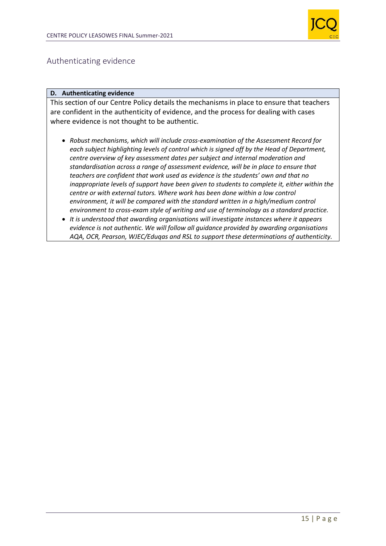

## Authenticating evidence

#### **D. Authenticating evidence**

This section of our Centre Policy details the mechanisms in place to ensure that teachers are confident in the authenticity of evidence, and the process for dealing with cases where evidence is not thought to be authentic.

- *Robust mechanisms, which will include cross-examination of the Assessment Record for each subject highlighting levels of control which is signed off by the Head of Department, centre overview of key assessment dates per subject and internal moderation and standardisation across a range of assessment evidence, will be in place to ensure that teachers are confident that work used as evidence is the students' own and that no inappropriate levels of support have been given to students to complete it, either within the centre or with external tutors. Where work has been done within a low control environment, it will be compared with the standard written in a high/medium control environment to cross-exam style of writing and use of terminology as a standard practice.*
- *It is understood that awarding organisations will investigate instances where it appears evidence is not authentic. We will follow all guidance provided by awarding organisations AQA, OCR, Pearson, WJEC/Eduqas and RSL to support these determinations of authenticity.*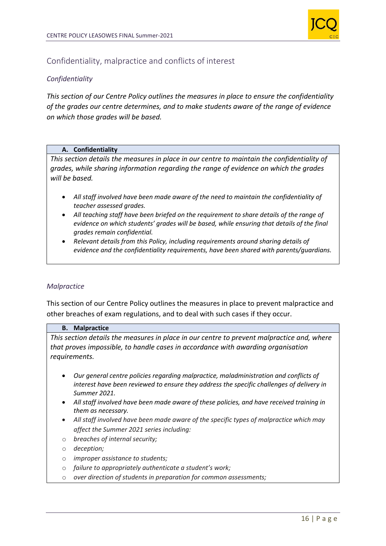

## Confidentiality, malpractice and conflicts of interest

## *Confidentiality*

*This section of our Centre Policy outlines the measures in place to ensure the confidentiality of the grades our centre determines, and to make students aware of the range of evidence on which those grades will be based.*

#### **A. Confidentiality**

*This section details the measures in place in our centre to maintain the confidentiality of grades, while sharing information regarding the range of evidence on which the grades will be based.* 

- *All staff involved have been made aware of the need to maintain the confidentiality of teacher assessed grades.*
- *All teaching staff have been briefed on the requirement to share details of the range of evidence on which students' grades will be based, while ensuring that details of the final grades remain confidential.*
- *Relevant details from this Policy, including requirements around sharing details of evidence and the confidentiality requirements, have been shared with parents/guardians.*

#### *Malpractice*

This section of our Centre Policy outlines the measures in place to prevent malpractice and other breaches of exam regulations, and to deal with such cases if they occur.

#### **B. Malpractice**

*This section details the measures in place in our centre to prevent malpractice and, where that proves impossible, to handle cases in accordance with awarding organisation requirements.*

- *Our general centre policies regarding malpractice, maladministration and conflicts of interest have been reviewed to ensure they address the specific challenges of delivery in Summer 2021.*
- *All staff involved have been made aware of these policies, and have received training in them as necessary.*
- *All staff involved have been made aware of the specific types of malpractice which may affect the Summer 2021 series including:*
- o *breaches of internal security;*
- o *deception;*
- o *improper assistance to students;*
- o *failure to appropriately authenticate a student's work;*
- o *over direction of students in preparation for common assessments;*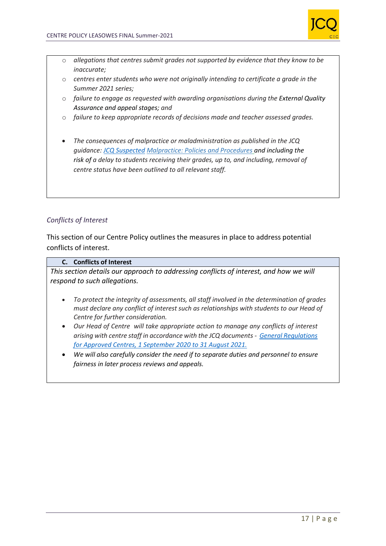

- o *allegations that centres submit grades not supported by evidence that they know to be inaccurate;*
- o *centres enter students who were not originally intending to certificate a grade in the Summer 2021 series;*
- o *failure to engage as requested with awarding organisations during the External Quality Assurance and appeal stages; and*
- o *failure to keep appropriate records of decisions made and teacher assessed grades.*
- *The consequences of malpractice or maladministration as published in the JCQ guidance: [JCQ Suspected](https://www.jcq.org.uk/exams-office/malpractice/jcq-suspected-malpractice-policies-and-procedures-2019-2020) Malpractice: Policies and Procedures and including the risk of a delay to students receiving their grades, up to, and including, removal of centre status have been outlined to all relevant staff.*

## *Conflicts of Interest*

This section of our Centre Policy outlines the measures in place to address potential conflicts of interest.

#### **C. Conflicts of Interest**

*This section details our approach to addressing conflicts of interest, and how we will respond to such allegations.*

- *To protect the integrity of assessments, all staff involved in the determination of grades must declare any conflict of interest such as relationships with students to our Head of Centre for further consideration.*
- *Our Head of Centre will take appropriate action to manage any conflicts of interest arising with centre staff in accordance with the JCQ documents - [General Regulations](https://www.jcq.org.uk/wp-content/uploads/2020/09/Gen_regs_approved_centres_20-21_FINAL.pdf)  [for Approved Centres, 1 September 2020 to 31 August 2021.](https://www.jcq.org.uk/wp-content/uploads/2020/09/Gen_regs_approved_centres_20-21_FINAL.pdf)*
- *We will also carefully consider the need if to separate duties and personnel to ensure fairness in later process reviews and appeals.*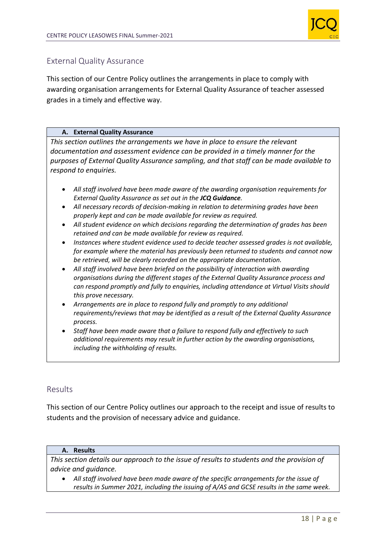

## External Quality Assurance

This section of our Centre Policy outlines the arrangements in place to comply with awarding organisation arrangements for External Quality Assurance of teacher assessed grades in a timely and effective way.

### **A. External Quality Assurance**

*This section outlines the arrangements we have in place to ensure the relevant documentation and assessment evidence can be provided in a timely manner for the purposes of External Quality Assurance sampling, and that staff can be made available to respond to enquiries.*

- *All staff involved have been made aware of the awarding organisation requirements for External Quality Assurance as set out in the JCQ Guidance.*
- *All necessary records of decision-making in relation to determining grades have been properly kept and can be made available for review as required.*
- *All student evidence on which decisions regarding the determination of grades has been retained and can be made available for review as required.*
- *Instances where student evidence used to decide teacher assessed grades is not available, for example where the material has previously been returned to students and cannot now be retrieved, will be clearly recorded on the appropriate documentation.*
- *All staff involved have been briefed on the possibility of interaction with awarding organisations during the different stages of the External Quality Assurance process and can respond promptly and fully to enquiries, including attendance at Virtual Visits should this prove necessary.*
- *Arrangements are in place to respond fully and promptly to any additional requirements/reviews that may be identified as a result of the External Quality Assurance process.*
- *Staff have been made aware that a failure to respond fully and effectively to such additional requirements may result in further action by the awarding organisations, including the withholding of results.*

## Results

This section of our Centre Policy outlines our approach to the receipt and issue of results to students and the provision of necessary advice and guidance.

#### **A. Results**

*This section details our approach to the issue of results to students and the provision of advice and guidance.*

• *All staff involved have been made aware of the specific arrangements for the issue of results in Summer 2021, including the issuing of A/AS and GCSE results in the same week.*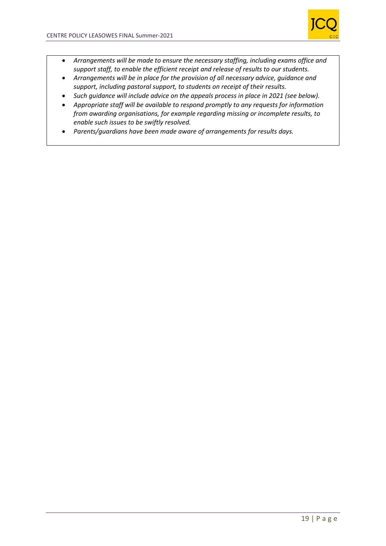

- *Arrangements will be made to ensure the necessary staffing, including exams office and support staff, to enable the efficient receipt and release of results to our students.*
- *Arrangements will be in place for the provision of all necessary advice, guidance and support, including pastoral support, to students on receipt of their results.*
- *Such guidance will include advice on the appeals process in place in 2021 (see below).*
- *Appropriate staff will be available to respond promptly to any requests for information from awarding organisations, for example regarding missing or incomplete results, to enable such issues to be swiftly resolved.*
- *Parents/guardians have been made aware of arrangements for results days.*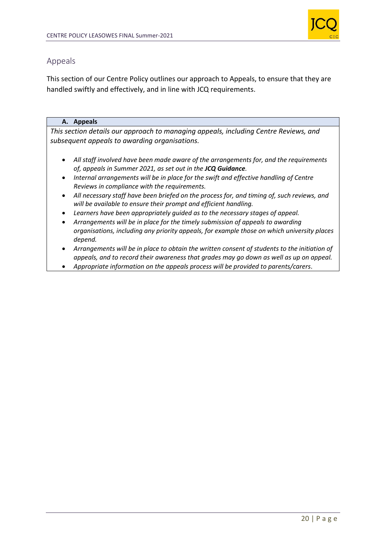

## Appeals

This section of our Centre Policy outlines our approach to Appeals, to ensure that they are handled swiftly and effectively, and in line with JCQ requirements.

## **A. Appeals**

*This section details our approach to managing appeals, including Centre Reviews, and subsequent appeals to awarding organisations.*

- *All staff involved have been made aware of the arrangements for, and the requirements of, appeals in Summer 2021, as set out in the JCQ Guidance.*
- *Internal arrangements will be in place for the swift and effective handling of Centre Reviews in compliance with the requirements.*
- *All necessary staff have been briefed on the process for, and timing of, such reviews, and will be available to ensure their prompt and efficient handling.*
- *Learners have been appropriately guided as to the necessary stages of appeal.*
- *Arrangements will be in place for the timely submission of appeals to awarding organisations, including any priority appeals, for example those on which university places depend.*
- *Arrangements will be in place to obtain the written consent of students to the initiation of appeals, and to record their awareness that grades may go down as well as up on appeal.*
- *Appropriate information on the appeals process will be provided to parents/carers*.